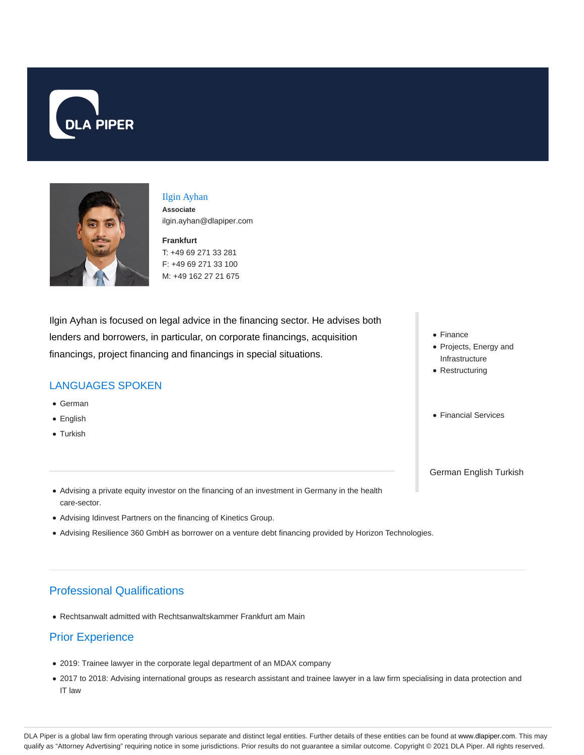



## Ilgin Ayhan

**Associate** ilgin.ayhan@dlapiper.com

**Frankfurt** T: +49 69 271 33 281 F: +49 69 271 33 100 M: +49 162 27 21 675

Ilgin Ayhan is focused on legal advice in the financing sector. He advises both lenders and borrowers, in particular, on corporate financings, acquisition financings, project financing and financings in special situations.

## LANGUAGES SPOKEN

- German
- English
- Turkish
- Finance
- Projects, Energy and Infrastructure
- Restructuring
- Financial Services

German English Turkish

- Advising a private equity investor on the financing of an investment in Germany in the health care-sector.
- Advising Idinvest Partners on the financing of Kinetics Group.
- Advising Resilience 360 GmbH as borrower on a venture debt financing provided by Horizon Technologies.

# Professional Qualifications

Rechtsanwalt admitted with Rechtsanwaltskammer Frankfurt am Main

# Prior Experience

- 2019: Trainee lawyer in the corporate legal department of an MDAX company
- 2017 to 2018: Advising international groups as research assistant and trainee lawyer in a law firm specialising in data protection and IT law

DLA Piper is a global law firm operating through various separate and distinct legal entities. Further details of these entities can be found at www.dlapiper.com. This may qualify as "Attorney Advertising" requiring notice in some jurisdictions. Prior results do not guarantee a similar outcome. Copyright © 2021 DLA Piper. All rights reserved.